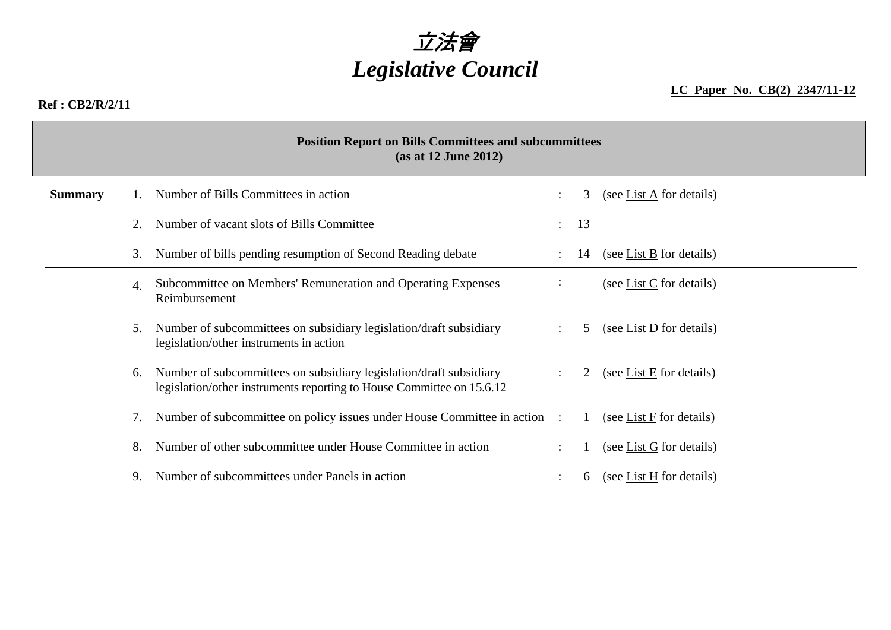

### **LC Paper No. CB(2) 2347/11-12**

#### **Ref : CB2/R/2/11**

| <b>Position Report on Bills Committees and subcommittees</b><br>(as at 12 June 2012) |    |                                                                                                                                             |               |    |                                       |  |  |
|--------------------------------------------------------------------------------------|----|---------------------------------------------------------------------------------------------------------------------------------------------|---------------|----|---------------------------------------|--|--|
| <b>Summary</b>                                                                       |    | Number of Bills Committees in action                                                                                                        |               | 3  | (see List $\overline{A}$ for details) |  |  |
|                                                                                      | 2. | Number of vacant slots of Bills Committee                                                                                                   | $\mathcal{L}$ | 13 |                                       |  |  |
|                                                                                      | 3. | Number of bills pending resumption of Second Reading debate                                                                                 |               | 14 | (see List B for details)              |  |  |
|                                                                                      | 4. | Subcommittee on Members' Remuneration and Operating Expenses<br>Reimbursement                                                               | ÷             |    | (see List $C$ for details)            |  |  |
|                                                                                      | 5. | Number of subcommittees on subsidiary legislation/draft subsidiary<br>legislation/other instruments in action                               |               | 5  | (see List $D$ for details)            |  |  |
|                                                                                      | 6. | Number of subcommittees on subsidiary legislation/draft subsidiary<br>legislation/other instruments reporting to House Committee on 15.6.12 |               | 2  | (see List $E$ for details)            |  |  |
|                                                                                      | 7. | Number of subcommittee on policy issues under House Committee in action :                                                                   |               | 1  | (see List $F$ for details)            |  |  |
|                                                                                      | 8. | Number of other subcommittee under House Committee in action                                                                                |               |    | (see List $G$ for details)            |  |  |
|                                                                                      |    | Number of subcommittees under Panels in action                                                                                              |               | 6  | (see List $H$ for details)            |  |  |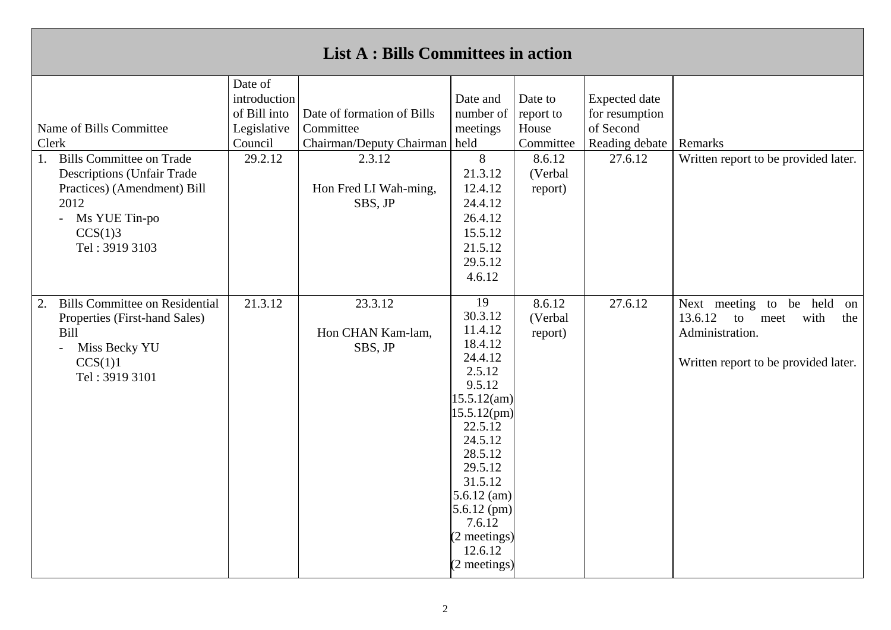| <b>List A: Bills Committees in action</b>                                                                                                                                                             |                                                                              |                                                                                                                          |                                                                                                                                                                                                                                                  |                                                                            |                                                                                  |                                                                                                                                  |  |
|-------------------------------------------------------------------------------------------------------------------------------------------------------------------------------------------------------|------------------------------------------------------------------------------|--------------------------------------------------------------------------------------------------------------------------|--------------------------------------------------------------------------------------------------------------------------------------------------------------------------------------------------------------------------------------------------|----------------------------------------------------------------------------|----------------------------------------------------------------------------------|----------------------------------------------------------------------------------------------------------------------------------|--|
| Name of Bills Committee<br>Clerk<br><b>Bills Committee on Trade</b><br>1.<br><b>Descriptions (Unfair Trade</b><br>Practices) (Amendment) Bill<br>2012<br>- Ms YUE Tin-po<br>CCS(1)3<br>Tel: 3919 3103 | Date of<br>introduction<br>of Bill into<br>Legislative<br>Council<br>29.2.12 | Date of formation of Bills<br>Committee<br>Chairman/Deputy Chairman   held<br>2.3.12<br>Hon Fred LI Wah-ming,<br>SBS, JP | Date and<br>number of<br>meetings<br>8<br>21.3.12<br>12.4.12<br>24.4.12<br>26.4.12<br>15.5.12<br>21.5.12<br>29.5.12<br>4.6.12                                                                                                                    | Date to<br>report to<br>House<br>Committee<br>8.6.12<br>(Verbal<br>report) | <b>Expected</b> date<br>for resumption<br>of Second<br>Reading debate<br>27.6.12 | Remarks<br>Written report to be provided later.                                                                                  |  |
| <b>Bills Committee on Residential</b><br>2.<br>Properties (First-hand Sales)<br>Bill<br>Miss Becky YU<br>$\sim$ $^{-1}$<br>CCS(1)1<br>Tel: 3919 3101                                                  | 21.3.12                                                                      | 23.3.12<br>Hon CHAN Kam-lam,<br>SBS, JP                                                                                  | 19<br>30.3.12<br>11.4.12<br>18.4.12<br>24.4.12<br>2.5.12<br>9.5.12<br>15.5.12(am)<br>15.5.12(pm)<br>22.5.12<br>24.5.12<br>28.5.12<br>29.5.12<br>31.5.12<br>$5.6.12$ (am)<br>$5.6.12$ (pm)<br>7.6.12<br>(2 meetings)<br>12.6.12<br>$(2$ meetings) | 8.6.12<br>(Verbal<br>report)                                               | 27.6.12                                                                          | Next meeting to be held<br>on<br>13.6.12<br>with<br>to<br>meet<br>the<br>Administration.<br>Written report to be provided later. |  |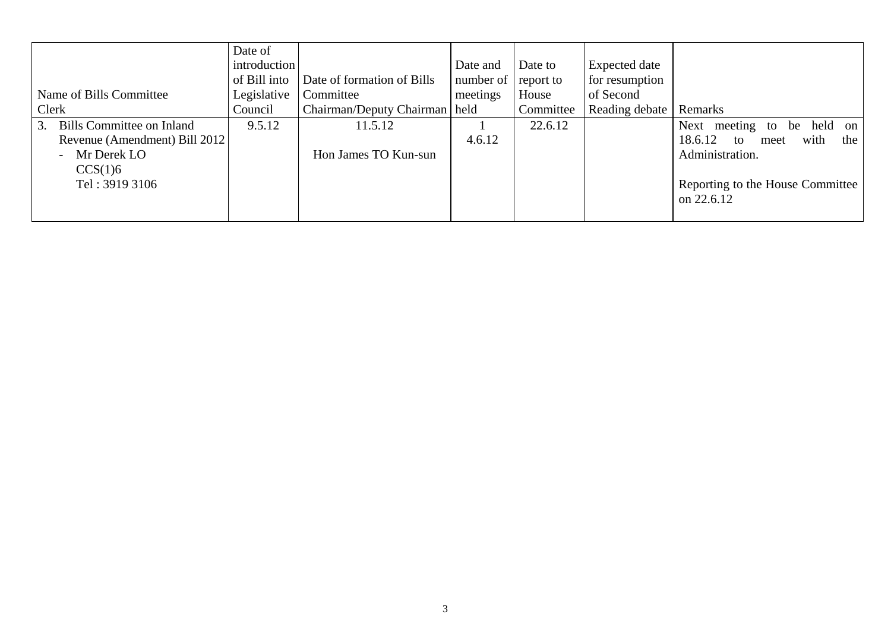|                                  | Date of      |                                 |                       |           |                |                                       |
|----------------------------------|--------------|---------------------------------|-----------------------|-----------|----------------|---------------------------------------|
|                                  | introduction |                                 | Date and              | Date to   | Expected date  |                                       |
|                                  | of Bill into | Date of formation of Bills      | number of   report to |           | for resumption |                                       |
| Name of Bills Committee          | Legislative  | Committee                       | meetings              | House     | of Second      |                                       |
| Clerk                            | Council      | Chairman/Deputy Chairman   held |                       | Committee | Reading debate | Remarks                               |
| <b>Bills Committee on Inland</b> | 9.5.12       | 11.5.12                         |                       | 22.6.12   |                | held<br>Next meeting to<br>on  <br>be |
| Revenue (Amendment) Bill 2012    |              |                                 | 4.6.12                |           |                | with<br>18.6.12<br>the<br>to<br>meet  |
| Mr Derek LO                      |              | Hon James TO Kun-sun            |                       |           |                | Administration.                       |
| CCS(1)6                          |              |                                 |                       |           |                |                                       |
| Tel: 3919 3106                   |              |                                 |                       |           |                | Reporting to the House Committee      |
|                                  |              |                                 |                       |           |                | on 22.6.12                            |
|                                  |              |                                 |                       |           |                |                                       |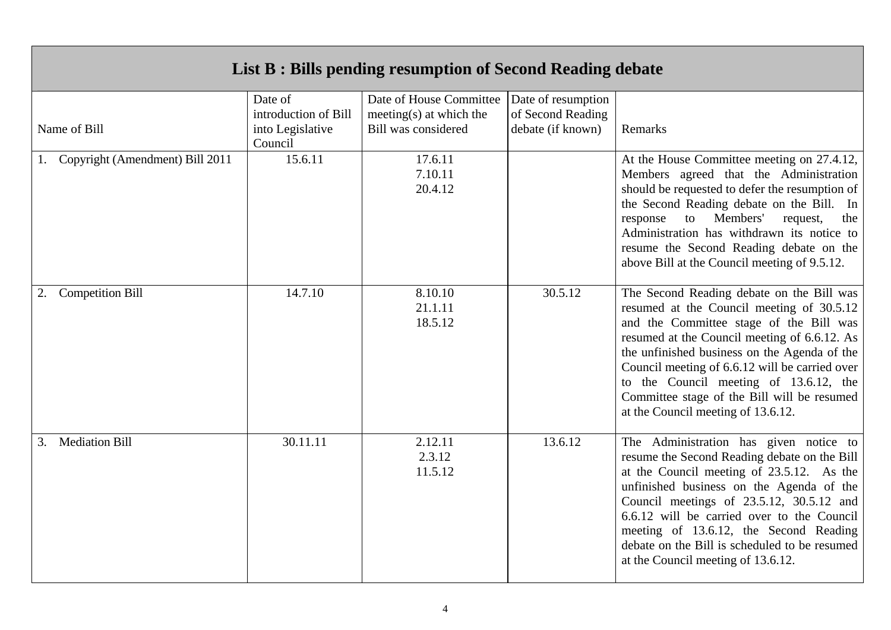| List B : Bills pending resumption of Second Reading debate |                                                                |                                                                                  |                                                              |                                                                                                                                                                                                                                                                                                                                                                                                                    |  |  |
|------------------------------------------------------------|----------------------------------------------------------------|----------------------------------------------------------------------------------|--------------------------------------------------------------|--------------------------------------------------------------------------------------------------------------------------------------------------------------------------------------------------------------------------------------------------------------------------------------------------------------------------------------------------------------------------------------------------------------------|--|--|
| Name of Bill                                               | Date of<br>introduction of Bill<br>into Legislative<br>Council | Date of House Committee<br>meeting(s) at which the<br><b>Bill was considered</b> | Date of resumption<br>of Second Reading<br>debate (if known) | Remarks                                                                                                                                                                                                                                                                                                                                                                                                            |  |  |
| Copyright (Amendment) Bill 2011                            | 15.6.11                                                        | 17.6.11<br>7.10.11<br>20.4.12                                                    |                                                              | At the House Committee meeting on 27.4.12,<br>Members agreed that the Administration<br>should be requested to defer the resumption of<br>the Second Reading debate on the Bill. In<br>Members'<br>to<br>request,<br>response<br>the<br>Administration has withdrawn its notice to<br>resume the Second Reading debate on the<br>above Bill at the Council meeting of 9.5.12.                                      |  |  |
| <b>Competition Bill</b><br>2.                              | 14.7.10                                                        | 8.10.10<br>21.1.11<br>18.5.12                                                    | 30.5.12                                                      | The Second Reading debate on the Bill was<br>resumed at the Council meeting of 30.5.12<br>and the Committee stage of the Bill was<br>resumed at the Council meeting of 6.6.12. As<br>the unfinished business on the Agenda of the<br>Council meeting of 6.6.12 will be carried over<br>to the Council meeting of 13.6.12, the<br>Committee stage of the Bill will be resumed<br>at the Council meeting of 13.6.12. |  |  |
| <b>Mediation Bill</b><br>3.                                | 30.11.11                                                       | 2.12.11<br>2.3.12<br>11.5.12                                                     | 13.6.12                                                      | The Administration has given notice to<br>resume the Second Reading debate on the Bill<br>at the Council meeting of 23.5.12. As the<br>unfinished business on the Agenda of the<br>Council meetings of 23.5.12, 30.5.12 and<br>6.6.12 will be carried over to the Council<br>meeting of 13.6.12, the Second Reading<br>debate on the Bill is scheduled to be resumed<br>at the Council meeting of 13.6.12.         |  |  |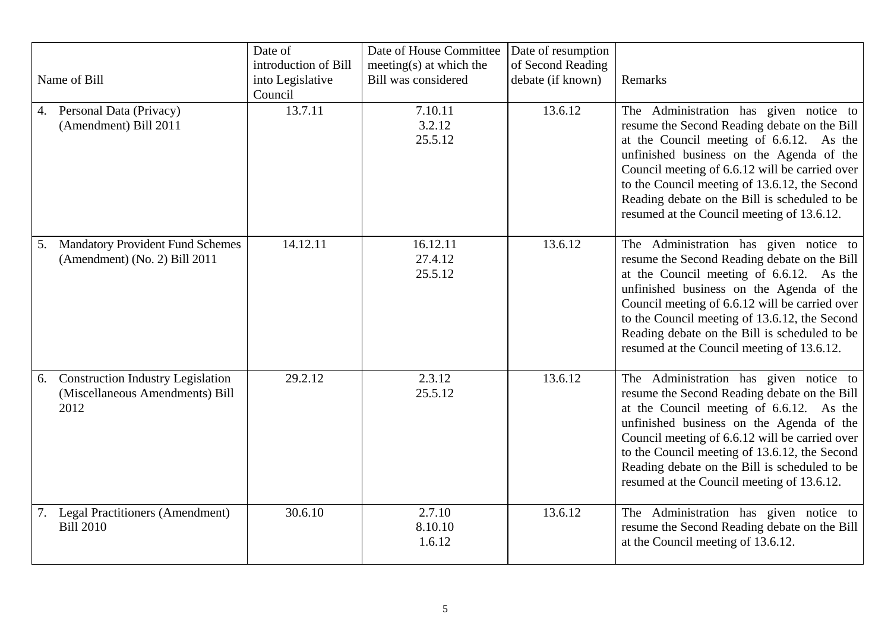| Name of Bill               |                                                                             | Date of<br>introduction of Bill<br>into Legislative<br>Council | Date of House Committee<br>meeting $(s)$ at which the<br>Bill was considered | Date of resumption<br>of Second Reading<br>debate (if known) | Remarks                                                                                                                                                                                                                                                                                                                                                                          |
|----------------------------|-----------------------------------------------------------------------------|----------------------------------------------------------------|------------------------------------------------------------------------------|--------------------------------------------------------------|----------------------------------------------------------------------------------------------------------------------------------------------------------------------------------------------------------------------------------------------------------------------------------------------------------------------------------------------------------------------------------|
| 4. Personal Data (Privacy) | (Amendment) Bill 2011                                                       | 13.7.11                                                        | 7.10.11<br>3.2.12<br>25.5.12                                                 | 13.6.12                                                      | The Administration has given notice to<br>resume the Second Reading debate on the Bill<br>at the Council meeting of 6.6.12. As the<br>unfinished business on the Agenda of the<br>Council meeting of 6.6.12 will be carried over<br>to the Council meeting of 13.6.12, the Second<br>Reading debate on the Bill is scheduled to be<br>resumed at the Council meeting of 13.6.12. |
| 5.                         | <b>Mandatory Provident Fund Schemes</b><br>(Amendment) (No. 2) Bill 2011    | 14.12.11                                                       | 16.12.11<br>27.4.12<br>25.5.12                                               | 13.6.12                                                      | The Administration has given notice to<br>resume the Second Reading debate on the Bill<br>at the Council meeting of 6.6.12. As the<br>unfinished business on the Agenda of the<br>Council meeting of 6.6.12 will be carried over<br>to the Council meeting of 13.6.12, the Second<br>Reading debate on the Bill is scheduled to be<br>resumed at the Council meeting of 13.6.12. |
| 6.<br>2012                 | <b>Construction Industry Legislation</b><br>(Miscellaneous Amendments) Bill | 29.2.12                                                        | 2.3.12<br>25.5.12                                                            | 13.6.12                                                      | The Administration has given notice to<br>resume the Second Reading debate on the Bill<br>at the Council meeting of 6.6.12. As the<br>unfinished business on the Agenda of the<br>Council meeting of 6.6.12 will be carried over<br>to the Council meeting of 13.6.12, the Second<br>Reading debate on the Bill is scheduled to be<br>resumed at the Council meeting of 13.6.12. |
| <b>Bill 2010</b>           | 7. Legal Practitioners (Amendment)                                          | 30.6.10                                                        | 2.7.10<br>8.10.10<br>1.6.12                                                  | 13.6.12                                                      | The Administration has given notice to<br>resume the Second Reading debate on the Bill<br>at the Council meeting of 13.6.12.                                                                                                                                                                                                                                                     |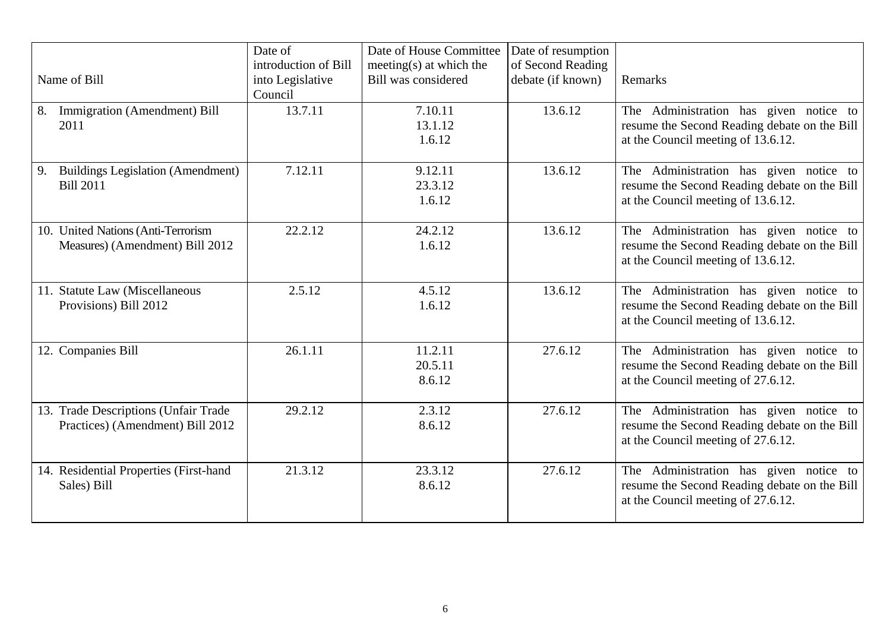| Name of Bill                                                             | Date of<br>introduction of Bill<br>into Legislative<br>Council | Date of House Committee<br>meeting $(s)$ at which the<br><b>Bill was considered</b> | Date of resumption<br>of Second Reading<br>debate (if known) | Remarks                                                                                                                      |
|--------------------------------------------------------------------------|----------------------------------------------------------------|-------------------------------------------------------------------------------------|--------------------------------------------------------------|------------------------------------------------------------------------------------------------------------------------------|
| Immigration (Amendment) Bill<br>8.<br>2011                               | 13.7.11                                                        | 7.10.11<br>13.1.12<br>1.6.12                                                        | 13.6.12                                                      | The Administration has given notice to<br>resume the Second Reading debate on the Bill<br>at the Council meeting of 13.6.12. |
| <b>Buildings Legislation (Amendment)</b><br>9.<br><b>Bill 2011</b>       | 7.12.11                                                        | 9.12.11<br>23.3.12<br>1.6.12                                                        | 13.6.12                                                      | The Administration has given notice to<br>resume the Second Reading debate on the Bill<br>at the Council meeting of 13.6.12. |
| 10. United Nations (Anti-Terrorism<br>Measures) (Amendment) Bill 2012    | 22.2.12                                                        | 24.2.12<br>1.6.12                                                                   | 13.6.12                                                      | The Administration has given notice to<br>resume the Second Reading debate on the Bill<br>at the Council meeting of 13.6.12. |
| 11. Statute Law (Miscellaneous<br>Provisions) Bill 2012                  | 2.5.12                                                         | 4.5.12<br>1.6.12                                                                    | 13.6.12                                                      | The Administration has given notice to<br>resume the Second Reading debate on the Bill<br>at the Council meeting of 13.6.12. |
| 12. Companies Bill                                                       | 26.1.11                                                        | 11.2.11<br>20.5.11<br>8.6.12                                                        | 27.6.12                                                      | The Administration has given notice to<br>resume the Second Reading debate on the Bill<br>at the Council meeting of 27.6.12. |
| 13. Trade Descriptions (Unfair Trade<br>Practices) (Amendment) Bill 2012 | 29.2.12                                                        | 2.3.12<br>8.6.12                                                                    | 27.6.12                                                      | The Administration has given notice to<br>resume the Second Reading debate on the Bill<br>at the Council meeting of 27.6.12. |
| 14. Residential Properties (First-hand<br>Sales) Bill                    | 21.3.12                                                        | 23.3.12<br>8.6.12                                                                   | 27.6.12                                                      | The Administration has given notice to<br>resume the Second Reading debate on the Bill<br>at the Council meeting of 27.6.12. |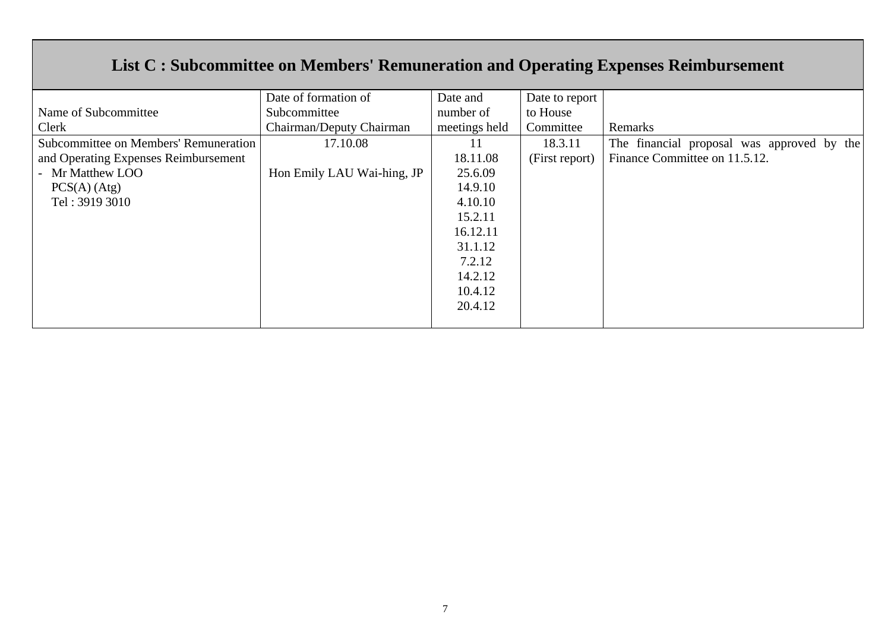# **List C : Subcommittee on Members' Remuneration and Operating Expenses Reimbursement**

|                                       | Date of formation of       | Date and      | Date to report |                                            |
|---------------------------------------|----------------------------|---------------|----------------|--------------------------------------------|
| Name of Subcommittee                  | Subcommittee               | number of     | to House       |                                            |
| Clerk                                 | Chairman/Deputy Chairman   | meetings held | Committee      | Remarks                                    |
| Subcommittee on Members' Remuneration | 17.10.08                   | 11            | 18.3.11        | The financial proposal was approved by the |
| and Operating Expenses Reimbursement  |                            | 18.11.08      | (First report) | Finance Committee on 11.5.12.              |
| - Mr Matthew LOO                      | Hon Emily LAU Wai-hing, JP | 25.6.09       |                |                                            |
| $PCS(A)$ (Atg)                        |                            | 14.9.10       |                |                                            |
| Tel: 3919 3010                        |                            | 4.10.10       |                |                                            |
|                                       |                            | 15.2.11       |                |                                            |
|                                       |                            | 16.12.11      |                |                                            |
|                                       |                            | 31.1.12       |                |                                            |
|                                       |                            | 7.2.12        |                |                                            |
|                                       |                            | 14.2.12       |                |                                            |
|                                       |                            | 10.4.12       |                |                                            |
|                                       |                            | 20.4.12       |                |                                            |
|                                       |                            |               |                |                                            |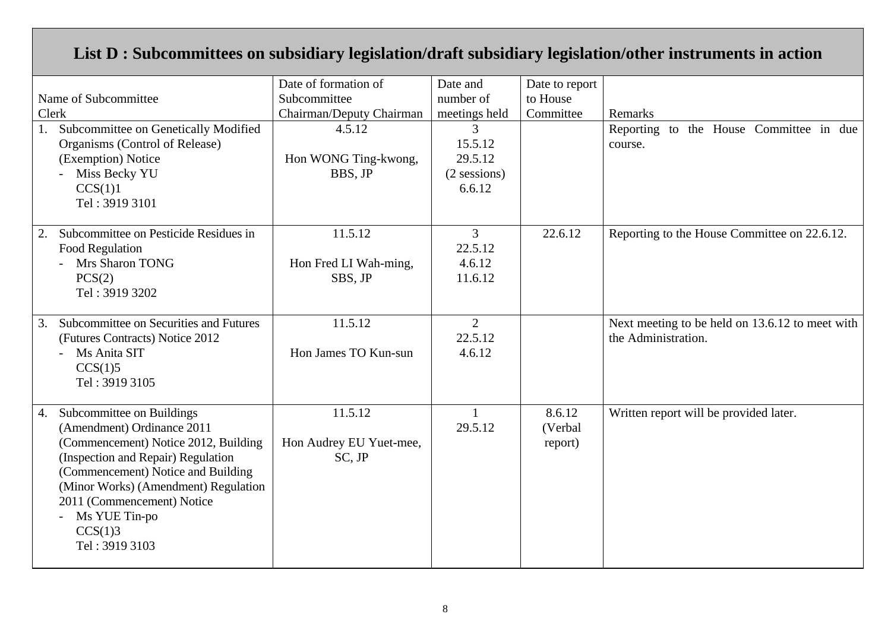## **List D : Subcommittees on subsidiary legislation/draft subsidiary legislation/other instruments in action**

| Name of Subcommittee<br>Clerk<br>Subcommittee on Genetically Modified<br>Organisms (Control of Release)<br>(Exemption) Notice<br>Miss Becky YU<br>CCS(1)1<br>Tel: 3919 3101                                                                                                                           | Date of formation of<br>Subcommittee<br>Chairman/Deputy Chairman<br>4.5.12<br>Hon WONG Ting-kwong,<br>BBS, JP | Date and<br>number of<br>meetings held<br>3<br>15.5.12<br>29.5.12<br>$(2$ sessions)<br>6.6.12 | Date to report<br>to House<br>Committee | Remarks<br>Reporting to the House Committee in due<br>course.          |
|-------------------------------------------------------------------------------------------------------------------------------------------------------------------------------------------------------------------------------------------------------------------------------------------------------|---------------------------------------------------------------------------------------------------------------|-----------------------------------------------------------------------------------------------|-----------------------------------------|------------------------------------------------------------------------|
| Subcommittee on Pesticide Residues in<br>2.<br>Food Regulation<br>Mrs Sharon TONG<br>PCS(2)<br>Tel: 3919 3202                                                                                                                                                                                         | 11.5.12<br>Hon Fred LI Wah-ming,<br>SBS, JP                                                                   | 3 <sup>1</sup><br>22.5.12<br>4.6.12<br>11.6.12                                                | 22.6.12                                 | Reporting to the House Committee on 22.6.12.                           |
| Subcommittee on Securities and Futures<br>3.<br>(Futures Contracts) Notice 2012<br>Ms Anita SIT<br>CCS(1)5<br>Tel: 3919 3105                                                                                                                                                                          | 11.5.12<br>Hon James TO Kun-sun                                                                               | $\overline{2}$<br>22.5.12<br>4.6.12                                                           |                                         | Next meeting to be held on 13.6.12 to meet with<br>the Administration. |
| Subcommittee on Buildings<br>4.<br>(Amendment) Ordinance 2011<br>(Commencement) Notice 2012, Building<br>(Inspection and Repair) Regulation<br>(Commencement) Notice and Building<br>(Minor Works) (Amendment) Regulation<br>2011 (Commencement) Notice<br>Ms YUE Tin-po<br>CCS(1)3<br>Tel: 3919 3103 | 11.5.12<br>Hon Audrey EU Yuet-mee,<br>SC, JP                                                                  | $\mathbf{1}$<br>29.5.12                                                                       | 8.6.12<br>(Verbal<br>report)            | Written report will be provided later.                                 |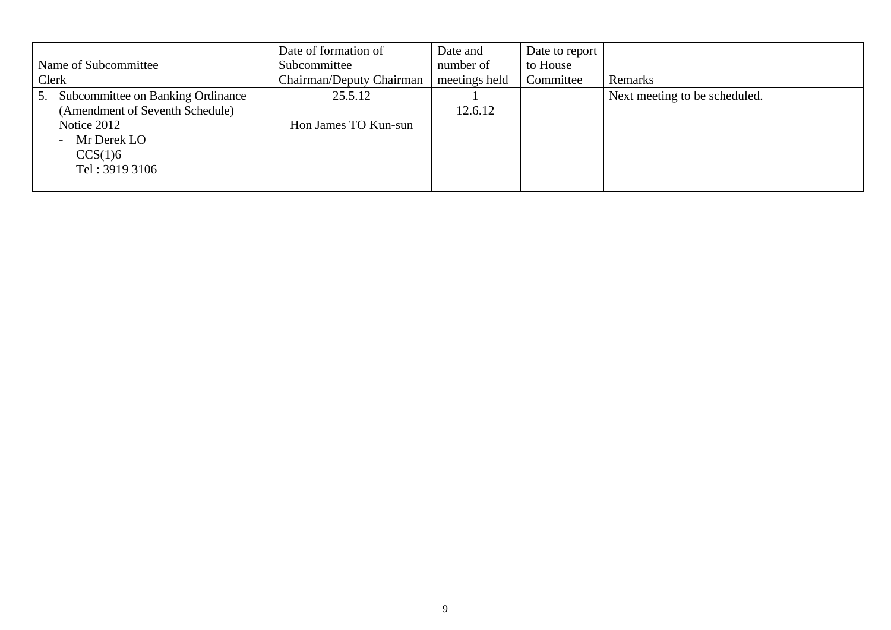|                                         | Date of formation of     | Date and      | Date to report |                               |
|-----------------------------------------|--------------------------|---------------|----------------|-------------------------------|
| Name of Subcommittee                    | Subcommittee             | number of     | to House       |                               |
| Clerk                                   | Chairman/Deputy Chairman | meetings held | Committee      | Remarks                       |
| Subcommittee on Banking Ordinance<br>5. | 25.5.12                  |               |                | Next meeting to be scheduled. |
| (Amendment of Seventh Schedule)         |                          | 12.6.12       |                |                               |
| Notice 2012                             | Hon James TO Kun-sun     |               |                |                               |
| - Mr Derek LO                           |                          |               |                |                               |
| CCS(1)6                                 |                          |               |                |                               |
| Tel: 3919 3106                          |                          |               |                |                               |
|                                         |                          |               |                |                               |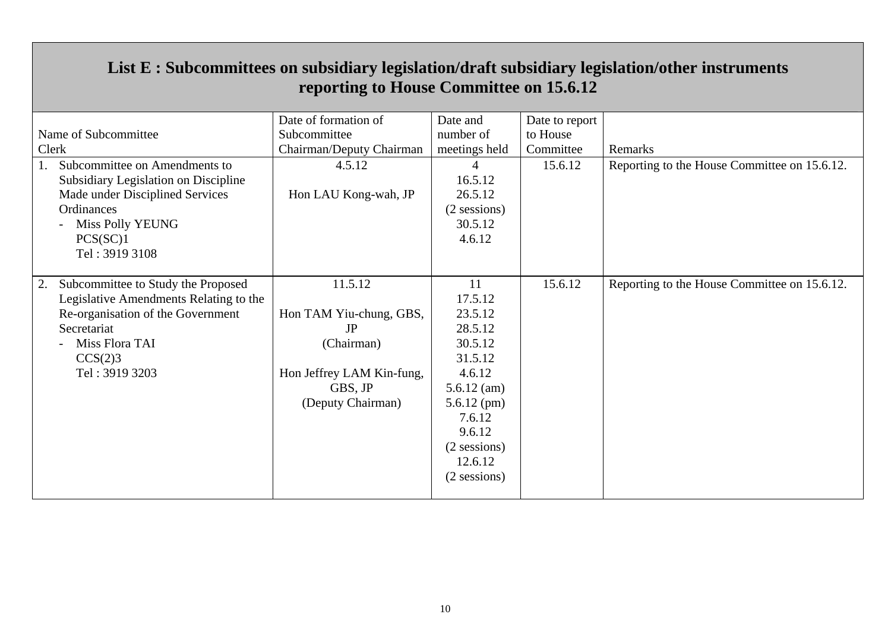|                                          | Date of formation of      | Date and      | Date to report |                                              |
|------------------------------------------|---------------------------|---------------|----------------|----------------------------------------------|
| Name of Subcommittee                     | Subcommittee              | number of     | to House       |                                              |
| Clerk                                    | Chairman/Deputy Chairman  | meetings held | Committee      | Remarks                                      |
| 1.<br>Subcommittee on Amendments to      | 4.5.12                    | 4             | 15.6.12        | Reporting to the House Committee on 15.6.12. |
| Subsidiary Legislation on Discipline     |                           | 16.5.12       |                |                                              |
| Made under Disciplined Services          | Hon LAU Kong-wah, JP      | 26.5.12       |                |                                              |
| Ordinances                               |                           | (2 sessions)  |                |                                              |
| Miss Polly YEUNG                         |                           | 30.5.12       |                |                                              |
| PCS(SC)1                                 |                           | 4.6.12        |                |                                              |
| Tel: 3919 3108                           |                           |               |                |                                              |
|                                          |                           |               |                |                                              |
| 2.<br>Subcommittee to Study the Proposed | 11.5.12                   | 11            | 15.6.12        | Reporting to the House Committee on 15.6.12. |
| Legislative Amendments Relating to the   |                           | 17.5.12       |                |                                              |
| Re-organisation of the Government        | Hon TAM Yiu-chung, GBS,   | 23.5.12       |                |                                              |
| Secretariat                              | <b>JP</b>                 | 28.5.12       |                |                                              |
| Miss Flora TAI                           | (Chairman)                | 30.5.12       |                |                                              |
| CCS(2)3                                  |                           | 31.5.12       |                |                                              |
| Tel: 3919 3203                           | Hon Jeffrey LAM Kin-fung, | 4.6.12        |                |                                              |
|                                          | GBS, JP                   | $5.6.12$ (am) |                |                                              |
|                                          | (Deputy Chairman)         | $5.6.12$ (pm) |                |                                              |
|                                          |                           | 7.6.12        |                |                                              |
|                                          |                           | 9.6.12        |                |                                              |
|                                          |                           | (2 sessions)  |                |                                              |
|                                          |                           | 12.6.12       |                |                                              |
|                                          |                           | (2 sessions)  |                |                                              |
|                                          |                           |               |                |                                              |

## **List E : Subcommittees on subsidiary legislation/draft subsidiary legislation/other instruments reporting to House Committee on 15.6.12**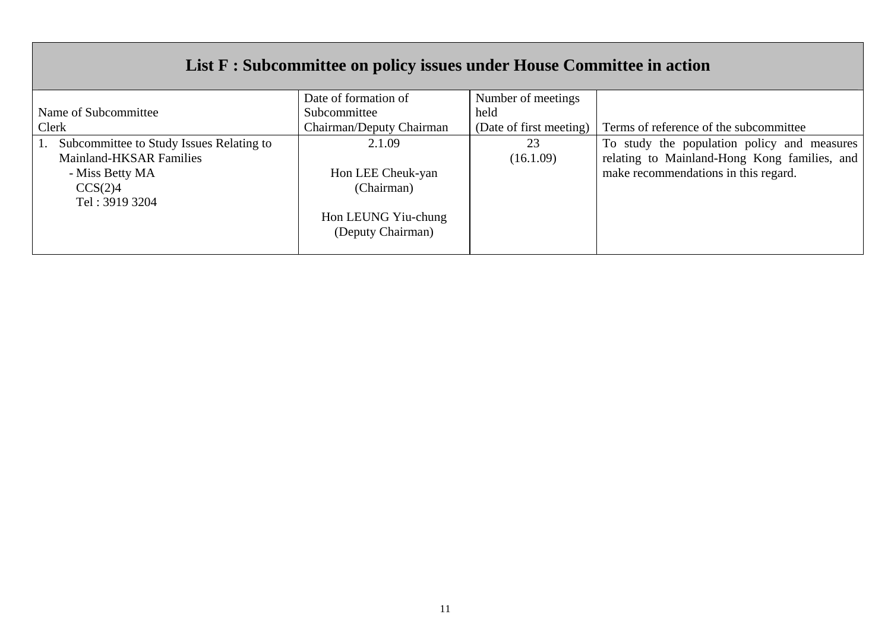# **List F : Subcommittee on policy issues under House Committee in action**

|                                          | Date of formation of     | Number of meetings      |                                              |
|------------------------------------------|--------------------------|-------------------------|----------------------------------------------|
| Name of Subcommittee                     | Subcommittee             | held                    |                                              |
| Clerk                                    | Chairman/Deputy Chairman | (Date of first meeting) | Terms of reference of the subcommittee       |
| Subcommittee to Study Issues Relating to | 2.1.09                   | 23                      | To study the population policy and measures  |
| <b>Mainland-HKSAR Families</b>           |                          | (16.1.09)               | relating to Mainland-Hong Kong families, and |
| - Miss Betty MA                          | Hon LEE Cheuk-yan        |                         | make recommendations in this regard.         |
| CCS(2)4                                  | (Chairman)               |                         |                                              |
| Tel: 3919 3204                           |                          |                         |                                              |
|                                          | Hon LEUNG Yiu-chung      |                         |                                              |
|                                          | (Deputy Chairman)        |                         |                                              |
|                                          |                          |                         |                                              |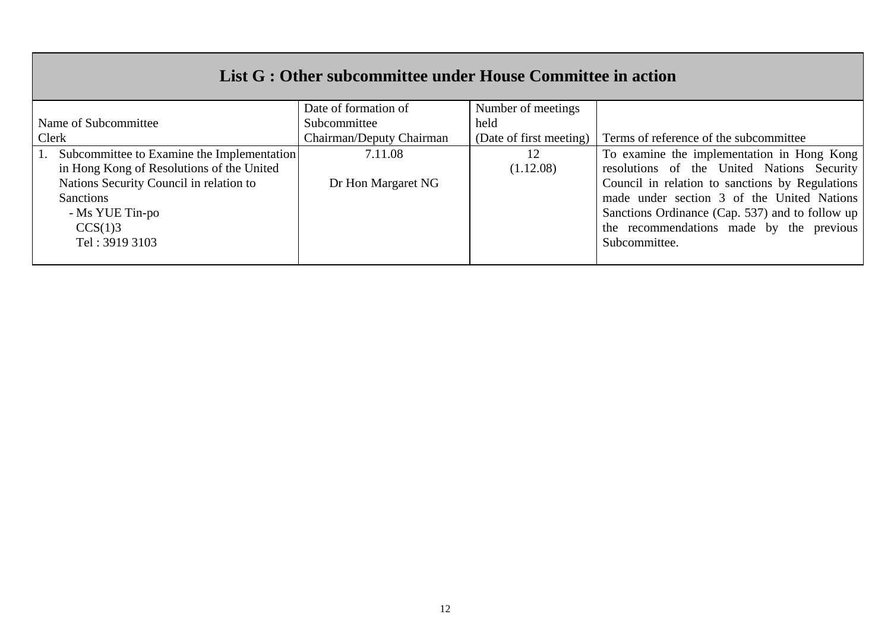## **List G : Other subcommittee under House Committee in action**

|                                            | Date of formation of     | Number of meetings      |                                                 |
|--------------------------------------------|--------------------------|-------------------------|-------------------------------------------------|
| Name of Subcommittee                       | Subcommittee<br>held     |                         |                                                 |
| Clerk                                      | Chairman/Deputy Chairman | (Date of first meeting) | Terms of reference of the subcommittee          |
| Subcommittee to Examine the Implementation | 7.11.08                  | 12                      | To examine the implementation in Hong Kong      |
| in Hong Kong of Resolutions of the United  |                          | (1.12.08)               | resolutions of the United Nations Security      |
| Nations Security Council in relation to    | Dr Hon Margaret NG       |                         | Council in relation to sanctions by Regulations |
| <b>Sanctions</b>                           |                          |                         | made under section 3 of the United Nations      |
| - Ms YUE Tin-po                            |                          |                         | Sanctions Ordinance (Cap. 537) and to follow up |
| CCS(1)3                                    |                          |                         | the recommendations made by the previous        |
| Tel: 3919 3103                             |                          |                         | Subcommittee.                                   |
|                                            |                          |                         |                                                 |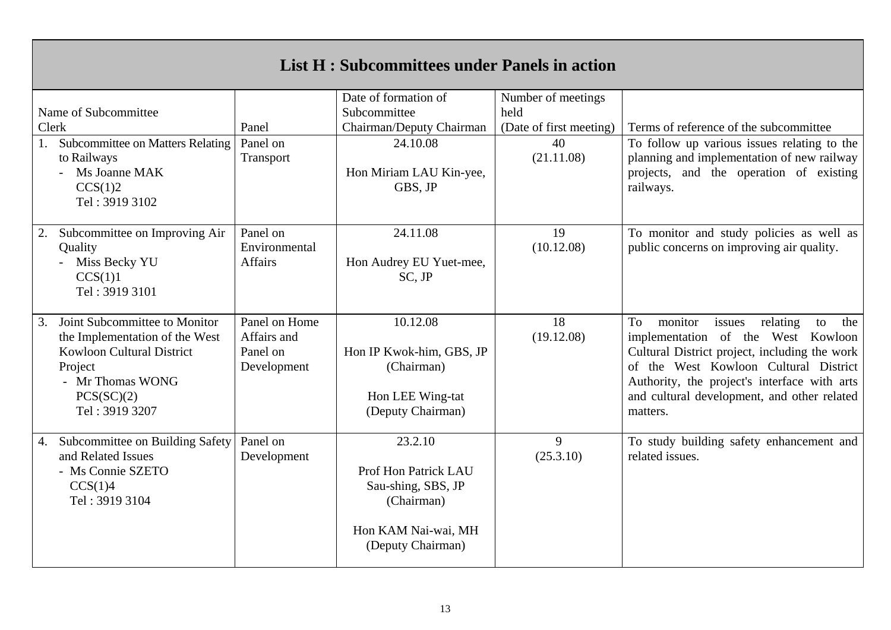# **List H : Subcommittees under Panels in action**

|                                                                                                                                                                          |                                                         | Date of formation of                                                                                            | Number of meetings      |                                                                                                                                                                                                                                                                                             |
|--------------------------------------------------------------------------------------------------------------------------------------------------------------------------|---------------------------------------------------------|-----------------------------------------------------------------------------------------------------------------|-------------------------|---------------------------------------------------------------------------------------------------------------------------------------------------------------------------------------------------------------------------------------------------------------------------------------------|
| Name of Subcommittee                                                                                                                                                     |                                                         | Subcommittee                                                                                                    | held                    |                                                                                                                                                                                                                                                                                             |
| Clerk                                                                                                                                                                    | Panel                                                   | Chairman/Deputy Chairman                                                                                        | (Date of first meeting) | Terms of reference of the subcommittee                                                                                                                                                                                                                                                      |
| <b>Subcommittee on Matters Relating</b><br>1.<br>to Railways<br>Ms Joanne MAK<br>CCS(1)2<br>Tel: 3919 3102                                                               | Panel on<br>Transport                                   | 24.10.08<br>Hon Miriam LAU Kin-yee,<br>GBS, JP                                                                  | 40<br>(21.11.08)        | To follow up various issues relating to the<br>planning and implementation of new railway<br>projects, and the operation of existing<br>railways.                                                                                                                                           |
| Subcommittee on Improving Air<br>2.<br>Quality<br>Miss Becky YU<br>CCS(1)1<br>Tel: 3919 3101                                                                             | Panel on<br>Environmental<br><b>Affairs</b>             | 24.11.08<br>Hon Audrey EU Yuet-mee,<br>$SC$ , $JP$                                                              | 19<br>(10.12.08)        | To monitor and study policies as well as<br>public concerns on improving air quality.                                                                                                                                                                                                       |
| 3.<br>Joint Subcommittee to Monitor<br>the Implementation of the West<br><b>Kowloon Cultural District</b><br>Project<br>- Mr Thomas WONG<br>PCS(SC)(2)<br>Tel: 3919 3207 | Panel on Home<br>Affairs and<br>Panel on<br>Development | 10.12.08<br>Hon IP Kwok-him, GBS, JP<br>(Chairman)<br>Hon LEE Wing-tat<br>(Deputy Chairman)                     | 18<br>(19.12.08)        | To<br>monitor<br>relating<br>issues<br>to<br>the<br>implementation of the West Kowloon<br>Cultural District project, including the work<br>of the West Kowloon Cultural District<br>Authority, the project's interface with arts<br>and cultural development, and other related<br>matters. |
| Subcommittee on Building Safety<br>4.<br>and Related Issues<br>- Ms Connie SZETO<br>CCS(1)4<br>Tel: 3919 3104                                                            | Panel on<br>Development                                 | 23.2.10<br>Prof Hon Patrick LAU<br>Sau-shing, SBS, JP<br>(Chairman)<br>Hon KAM Nai-wai, MH<br>(Deputy Chairman) | 9<br>(25.3.10)          | To study building safety enhancement and<br>related issues.                                                                                                                                                                                                                                 |